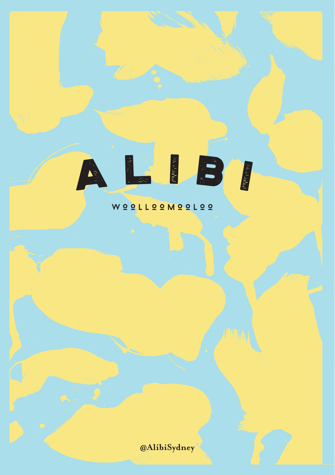# LEB  $\sum_{i=1}^{n}$

## WOOLLOOMOOLOO

**@AlibiSydney**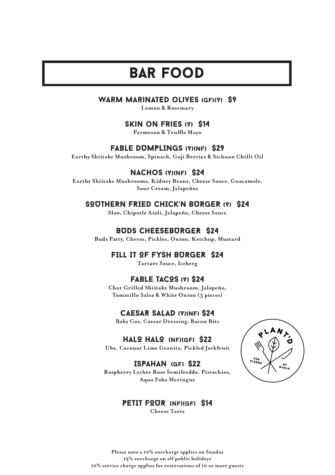## bar food

#### WARM MARINATED OLIVES (GF)(V) \$9

**Lemon & Rosemary**

#### SKIN ON FRIES (V) \$14

**Parmesan & Truffle Mayo**

#### fable DUMPLINGS (V)(NF) \$29

**Earthy Shiitake Mushroom, Spinach, Goji Berries & Sichuan Chilli Oil**

### NACHOS (V)(NF) \$24

**Earthy Shiitake Mushrooms, Kidney Beans, Cheese Sauce, Guacamole, Sour Cream, Jalapeños**

## SOUTHERN FRIED CHICK'N BURGER (V) \$24

**Slaw, Chipotle Aioli, Jalapeño, Cheese Sauce**

### BUDS CHEESEBURGER \$24

**Buds Patty, Cheese, Pickles, Onion, Ketchup, Mustard**

### FILL IT OF FYSH BURGER \$24

**Tartare Sauce, Iceberg** 

#### FABLE TACOS (V) \$24

**Char Grilled Shiitake Mushroom, Jalapeño, Tomatillo Salsa & White Onion (3 pieces)**

#### CAESAR SALAD (V)(NF) \$24

**Baby Cos, Caesar Dressing, Bacon Bits**

#### HALO HALO (NF)(GF) \$22

Ube, Coconut Lime Granita, Pickled Jackfruit

#### ISPAHAN (gf) \$22

**Raspberry Lychee Rose Semifreddo, Pistachios, Aqua Faba Meringue**



## PETIT FOUR (NF)(GF) \$14

**Cheese Tarts**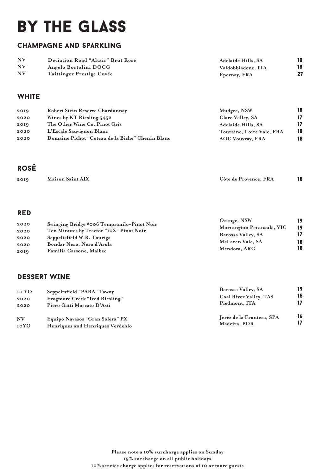## by the glass

## champagne and sparkling

| NV        | Deviation Road "Altair" Brut Rosé | <b>Adelaide Hills, SA</b> | 18 |
|-----------|-----------------------------------|---------------------------|----|
| NV        | Angelo Bortolini DOCG             | Valdobbiadene. ITA        | 18 |
| <b>NV</b> | Taittinger Prestige Cuvée         | Epernay, FRA              |    |

## **WHITE**

| 2019 | Robert Stein Reserve Chardonnay                  | Mudgee, NSW               | 18 |
|------|--------------------------------------------------|---------------------------|----|
| 2020 | Wines by KT Riesling 5452                        | Clare Valley, SA          | 17 |
| 2019 | The Other Wine Co. Pinot Gris                    | <b>Adelaide Hills, SA</b> | 17 |
| 2020 | L'Escale Sauvignon Blanc                         | Touraine, Loire Vale, FRA | 18 |
| 2020 | Domaine Pichot "Coteau de la Biche" Chenin Blanc | <b>AOC Vouvray, FRA</b>   | 18 |

## rosé

| <b>Maison Saint AIX</b><br>Côte de Provence. FRA<br>2019 |  |
|----------------------------------------------------------|--|
|----------------------------------------------------------|--|

#### red

| ----- |                                            |                           |    |
|-------|--------------------------------------------|---------------------------|----|
| 2020  |                                            | Orange, NSW               | 19 |
|       | Swinging Bridge #006 Tempranilo-Pinot Noir | Mornington Peninsula, VIC | 19 |
| 2020  | Ten Minutes by Tractor "10X" Pinot Noir    |                           | 17 |
| 2020  | Seppeltsfield W.R. Touriga                 | Barossa Valley, SA        |    |
|       | Bondar Nero, Nero d'Avola                  | McLaren Vale, SA          | 18 |
| 2020  |                                            | Mendoza, ARG              | 18 |
| 2019  | Familia Cassone, Malbec                    |                           |    |
|       |                                            |                           |    |

## DESSERT WINE

| 10 YO<br>2020<br>2020 | Seppeltsfield "PARA" Tawny<br>Frogmore Creek "Iced Riesling"<br>Piero Gatti Moscato D'Asti | Barossa Valley, SA<br><b>Coal River Valley, TAS</b><br>Piedmont, ITA | 19<br>15 |
|-----------------------|--------------------------------------------------------------------------------------------|----------------------------------------------------------------------|----------|
| <b>NV</b>             | Equipo Navasos "Gran Solera" PX                                                            | Jeréz de la Frontera, SPA                                            | 16       |
| 10YO                  | Henriques and Henriques Verdehlo                                                           | Madeira, POR                                                         | 17       |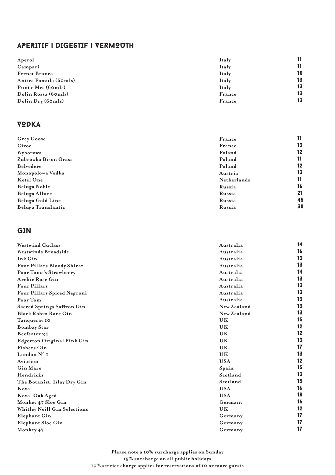## APERITIF | DIGESTIF | VERMOUTH

| Aperol                | 11<br>Italy  |
|-----------------------|--------------|
| Campari               | 11<br>Italy  |
| <b>Fernet Branca</b>  | 10<br>Italy  |
| Antica Fomula (60mls) | 13<br>Italy  |
| Punt e Mes (60mls)    | 13<br>Italy  |
| Dolin Rossa (60mls)   | 13<br>France |
| Dolin Dry(6omls)      | 13<br>France |

### VODKA

| Grey Goose           | France      |    |
|----------------------|-------------|----|
| Ciroc                | France      | 13 |
| Wyborowa             | Poland      | 12 |
| Zubrowka Bison Grass | Poland      | 11 |
| Belvedere            | Poland      | 12 |
| Monopolowa Vodka     | Austria     | 13 |
| Ketel One            | Netherlands | 11 |
| Beluga Noble         | Russia      | 16 |
| Beluga Allure        | Russia      | 21 |
| Beluga Gold Line     | Russia      | 45 |
| Beluga Translantic   | Russia      | 30 |

## GIN

| <b>Westwind Cutlass</b>           | Australia   | 14 |
|-----------------------------------|-------------|----|
| Westwinds Broadside               | Australia   | 16 |
| Ink Gin                           | Australia   | 13 |
| Four Pillars Bloody Shiraz        | Australia   | 13 |
| Poor Toms's Strawberry            | Australia   | 14 |
| <b>Archie Rose Gin</b>            | Australia   | 13 |
| Four Pillars                      | Australia   | 13 |
| Four Pillars Spiced Negroni       | Australia   | 13 |
| Poor Tom                          | Australia   | 13 |
| Sacred Springs Saffron Gin        | New Zealand | 13 |
| <b>Black Robin Rare Gin</b>       | New Zealand | 13 |
| Tanqueray 10                      | <b>UK</b>   | 15 |
| <b>Bombay Star</b>                | <b>UK</b>   | 12 |
| Beefeater 24                      | <b>UK</b>   | 12 |
| <b>Edgerton Original Pink Gin</b> | <b>UK</b>   | 13 |
| <b>Fishers Gin</b>                | <b>UK</b>   | 17 |
| London N° I                       | <b>UK</b>   | 13 |
| Aviation                          | <b>USA</b>  | 12 |
| Gin Mare                          | Spain       | 15 |
| Hendricks                         | Scotland    | 13 |
| The Botanist, Islay Dry Gin       | Scotland    | 15 |
| Koval                             | <b>USA</b>  | 16 |
| Koval Oak Aged                    | <b>USA</b>  | 18 |
| Monkey 47 Sloe Gin                | Germany     | 16 |
| Whitley Neill Gin Selections      | <b>UK</b>   | 12 |
| Elephant Gin                      | Germany     | 17 |
| Elephant Sloe Gin                 | Germany     | 17 |
| Monkey 47                         | Germany     | 17 |

**Please note a 10% surcharge applies on Sunday 15% surcharge on all public holidays 10% service charge applies for reservations of 10 or more guests**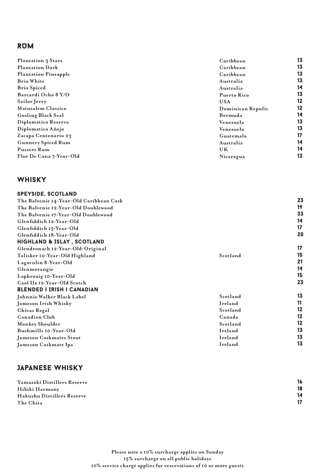## RUM

| Plantation 3 Stars          | Caribbean         | 13 |
|-----------------------------|-------------------|----|
| <b>Plantation Dark</b>      | Caribbean         | 13 |
| <b>Plantation Pineapple</b> | Caribbean         | 13 |
| <b>Brix White</b>           | Australia         | 13 |
| <b>Brix Spiced</b>          | Australia         | 14 |
| Barcardi Ocho 8 Y/O         | Puerto Rico       | 13 |
| Sailor Jerry                | <b>USA</b>        | 12 |
| Matusalem Classico          | Dominican Repulic | 12 |
| Gosling Black Seal          | Bermuda           | 14 |
| Diplomatico Reserva         | Venezuela         | 13 |
| Diplomatico Añejo           | Venezuela         | 13 |
| Zacapa Centenario 23        | Guatemala         | 17 |
| Gunnery Spiced Rum          | Australia         | 14 |
| Pussers Rum                 | UK                | 14 |
| Flor De Cana 7-Year-Old     | Nicaragua         | 13 |
|                             |                   |    |

## whisky

| <b>SPEYSIDE, SCOTLAND</b>               |          |    |
|-----------------------------------------|----------|----|
| The Balvenie 14-Year-Old Caribbean Cask |          | 23 |
| The Balvenie 12-Year-Old Doublewood     |          | 19 |
| The Balvenie 17-Year-Old Doublewood     |          | 33 |
| Glenfiddich 12-Year-Old                 |          | 14 |
| Glenfiddich 15-Year-Old                 |          | 17 |
| Glenfiddich 18-Year-Old                 |          | 20 |
| <b>HIGHLAND &amp; ISLAY, SCOTLAND</b>   |          |    |
| Glendronach 12-Year-Old-Original        |          | 17 |
| Talisker 10-Year-Old Highland           | Scotland | 15 |
| Lagavulin 8-Year-Old                    |          | 21 |
| Glenmorangie                            |          | 14 |
| Laphroaig 10-Year-Old                   |          | 15 |
| Caol Ila 12-Year-Old Scotch             |          | 23 |
| <b>BLENDED I IRISH I CANADIAN</b>       |          |    |
| Johnnie Walker Black Label              | Scotland | 13 |
| Jameson Irish Whisky                    | Ireland  | 11 |
| Chivas Regal                            | Scotland | 12 |
| Canadian Club                           | Canada   | 12 |
| Monkey Shoulder                         | Scotland | 12 |
| Bushmills 10-Year-Old                   | Ireland  | 13 |
| Jameson Caskmates Stout                 | Ireland  | 13 |
| Jameson Caskmate Ipa                    | Ireland  | 13 |
|                                         |          |    |

## Japanese whisky

| Yamazaki Distillers Reserve | 16 |
|-----------------------------|----|
| Hibiki Harmony              | 18 |
| Hakushu Distillers Reserve  | 14 |
| The Chita                   | 17 |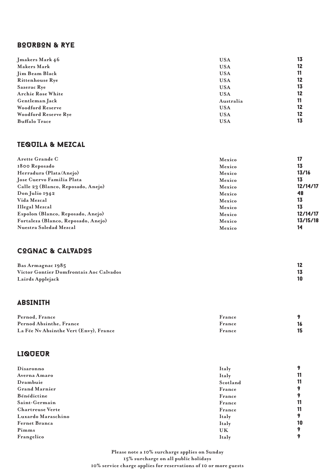## BOURBON & RYE

| Jmakers Mark 46          | <b>USA</b> | 13 |
|--------------------------|------------|----|
| Makers Mark              | <b>USA</b> | 12 |
| Jim Beam Black           | <b>USA</b> | 11 |
| <b>Rittenhouse Rye</b>   | <b>USA</b> | 12 |
| Sazerac Rye              | <b>USA</b> | 13 |
| <b>Archie Rose White</b> | <b>USA</b> | 12 |
| Gentleman Jack           | Australia  | 11 |
| Woodford Reserve         | <b>USA</b> | 12 |
| Woodford Reserve Rye     | <b>USA</b> | 12 |
| <b>Buffalo Trace</b>     | <b>USA</b> | 13 |

## TEQUILA & MEZCAL

| Arette Grande C                     | Mexico | 17       |
|-------------------------------------|--------|----------|
| 1800 Reposado                       | Mexico | 13       |
| Herradura (Plata/Anejo)             | Mexico | 13/16    |
| Jose Cuervo Familia Plata           | Mexico | 13       |
| Calle 23 (Blanco, Reposado, Anejo)  | Mexico | 12/14/17 |
| Don Julio 1942                      | Mexico | 48       |
| Vida Mezcal                         | Mexico | 13       |
| Illegal Mezcal                      | Mexico | 13       |
| Espolon (Blanco, Reposado, Anejo)   | Mexico | 12/14/17 |
| Fortaleza (Blanco, Reposado, Anejo) | Mexico | 13/15/18 |
| Nuestra Soledad Mezcal              | Mexico | 14       |

## COGNAC & CALVADOS

| Bas Armagnac 1985                       |  |
|-----------------------------------------|--|
| Victor Gontier Domfrontais Aoc Calvados |  |
| Lairds Applejack                        |  |

## ABSINITH

| Pernod. France                         | France |  |
|----------------------------------------|--------|--|
| Pernod Absinthe. France                | France |  |
| La Fée Ny Absinthe Vert (Envy), France | France |  |

#### **LIQUEUR**

| Disaronno               | Italy    |    |
|-------------------------|----------|----|
| Averna Amaro            | Italy    | 11 |
| Drambuie                | Scotland | 11 |
| <b>Grand Marnier</b>    | France   | 9  |
| Bénédictine             | France   | 9  |
| Saint-Germain           | France   | 11 |
| <b>Chartreuse Verte</b> | France   | 11 |
| Luxardo Maraschino      | Italy    | 9  |
| <b>Fernet Branca</b>    | Italy    | 10 |
| Pimms                   | UK       | 9  |
| Frangelico              | Italy    | ۰  |

**Please note a 10% surcharge applies on Sunday 15% surcharge on all public holidays 10% service charge applies for reservations of 10 or more guests**